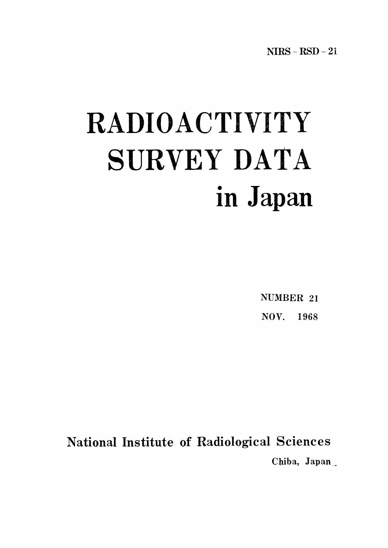# RADIOACTIVITY SURVEY DATA in Japan

NUMBER 21  $NOV.$ 1968

**National Institute of Radiological Sciences** 

Chiba, Japan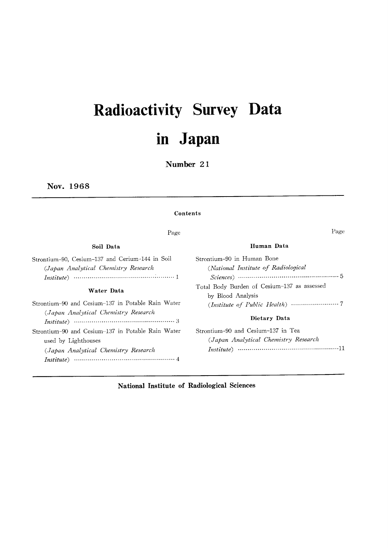## Radioactivity Survey Data in Japan

Number 21

Nov. 1968

#### Contents

Page Human Data Soil Data Strontium-90 in Human Bone Strontium-90, Cesium-137 and Cerium-144 in Soil (National Institute of Radiological (Japan Analytical Chemistry Research Total Body Burden of Cesium-137 as assessed Water Data by Blood Analysis Strontium-90 and Cesium-137 in Potable Rain Water (Japan Analytical Chemistry Research Dietary Data Strontium-90 and Cesium-137 in Tea Strontium-90 and Cesium-137 in Potable Rain Water (Japan Analytical Chemistry Research used by Lighthouses (Japan Analytical Chemistry Research *Institute*)  $\cdots$  *m* 

#### National Institute of Radiological Sciences

Page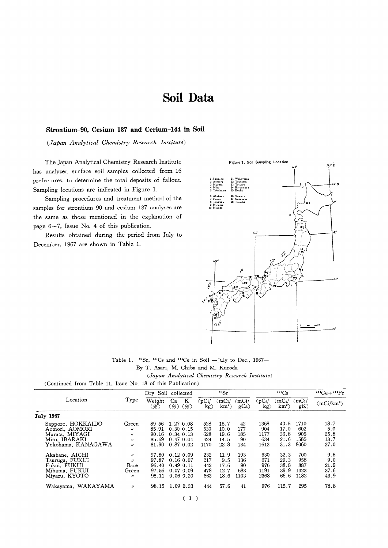## Soil Data

#### Strontium-90, Cesium-137 and Cerium-144 in Soil

(Japan Analytical Chemistry Research Institute)

The Japan Analytical Chemistry Research Institute has analyzed surface soil samples collected from 16 prefectures, to determine the total deposits of fallout. Sampling locations are indicated in Figure 1.

Sampling procedures and treatment method of the samples for strontium-90 and cesium-137 analyses are the same as those mentioned in the explanation of page  $6~1$ , Issue No. 4 of this publication.

Results obtained during the period fromJuly to December, 1967 are shown in Table 1.



Table 1.  $^{90}Sr$ ,  $^{137}Cs$  and  $^{144}Ce$  in Soil -July to Dec., 1967-By T. Asari, M. Chiba and M. Kuroda

(Japan Analytical Chemistry Research Institute)

(Continued from Table 11, Issue No. 18 of this Publication)

|                    |                   | Dry Soil collected |              |                      |              | 90Sr            |              |              | 137Cs             |             | $^{144}Ce + ^{144}Pr$  |
|--------------------|-------------------|--------------------|--------------|----------------------|--------------|-----------------|--------------|--------------|-------------------|-------------|------------------------|
| Location           | Type              | Weight<br>(%)      | Ca<br>$(\%)$ | К<br>(%)             | (pCi/<br>kg) | (mCi/<br>$km^2$ | (mCi/<br>gCa | (pCi/<br>kg) | (mCi/<br>$km^{2}$ | (mCi/<br>gK | (mCi/km <sup>2</sup> ) |
| <b>July 1967</b>   |                   |                    |              |                      |              |                 |              |              |                   |             |                        |
| Sapporo, HOKKAIDO  | Green             | 89.56              | 1.27 0.08    |                      | 528          | 15.7            | 42           | 1368         | 40.5              | 1710        | 18.7                   |
| Aomori, AOMORI     | $^{\prime\prime}$ | 85.91              |              | $0.30\;0.15$         | 530          | 10.0            | 177          | 904          | 17.0              | 602         | 5.0                    |
| Murata, MIYAGI     | $^{\prime\prime}$ | 90.16              |              | $0.34\;0.13$         | 628          | 19.6            | 185          | 1177         | 36.8              | 905         | 25.8                   |
| Mito. IBARAKI      | $^{\prime\prime}$ | 85.69              |              | 0.47, 0.04           | 424          | 14.5            | 90           | 634          | 21.6              | 1585        | 13.7                   |
| Yokohama, KANAGAWA | $^{\prime\prime}$ | 81.90              |              | 0.87, 0.02           | 1170         | 22.8            | 134          | 1612         | 31.3              | 8060        | 27.0                   |
| Akabane, AICHI     | $^{\prime\prime}$ | 97.80              |              | $0.12\ 0.09$         | 232          | 11.9            | 193          | 630          | 32.3              | 700         | 9.5                    |
| Tsuruga, FUKUI     | $^{\prime\prime}$ | 97.87              |              | $0.16\;0.07$         | 217          | 9.5             | 136          | 671          | 29.3              | 958         | 9.0                    |
| Fukui, FUKUI       | Bare              | 96.40              |              | $0.49$ $0.11$        | 442          | 17.6            | 90           | 976          | 38.8              | 887         | 21.9                   |
| Mihama, FUKUI      | Green             | 97.56              |              | 0.07, 0.09           | 478          | 12.7            | 683          | 1191         | 39.9              | 1323        | 37.6                   |
| Miyazu, KYOTO      | $^{\prime\prime}$ | 98.11              |              | $0.06$ $0.20$        | 663          | 18.6            | 1103         | 2368         | 66.6              | 1182        | 43.9                   |
| Wakayama, WAKAYAMA | $^{\prime\prime}$ | 98.15              |              | $1.09 \text{ } 0.33$ | 444          | 57.6            | 41           | 976          | 115.7             | 295         | 78.8                   |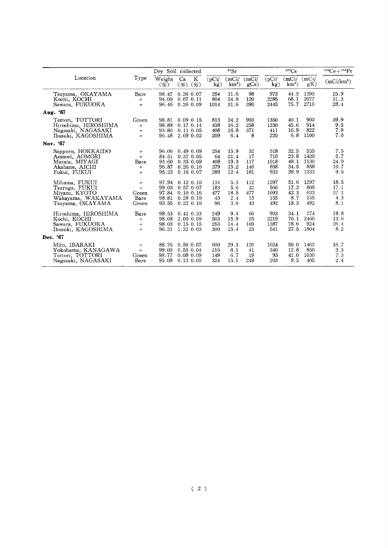|                      |                   |                  | Dry Soil collected           |              | 90Sr            |              |              | 137Cs             |             | $^{144}Ce + ^{144}Pr$  |
|----------------------|-------------------|------------------|------------------------------|--------------|-----------------|--------------|--------------|-------------------|-------------|------------------------|
| Location             | Type              | Weight<br>$(\%)$ | $\bf K$<br>Ca<br>$(\%) (\%)$ | (pCi)<br>kg) | (mCi)<br>$km^2$ | (mCi/<br>gCa | (pCi/<br>kg) | (mCi)<br>$km^2$ ) | (mCi/<br>gK | (mCi/km <sup>2</sup> ) |
| Tsuyama, OKAYAMA     | Bare              | 98.47            | $0.26$ 0.07                  | 254          | 11.6            | 98           | 973          | 44.3              | 1390        | 25.9                   |
| Kochi, KOCHI         | $^{\prime\prime}$ | 94.00            | $0.67$ $0.11$                | 804          | 24 0            | 120          | 2285         | 68.1              | 2077        | 31.3                   |
| Sawara, FUKUOKA      | $\prime\prime$    | 96.46            | $0.26\;0.09$                 | 1014         | 31.6            | 390          | 2445         | 75.7              | 2716        | 28.4                   |
| Aug. '67             |                   |                  |                              |              |                 |              |              |                   |             |                        |
| Tottori, TOTTORI     | Green             | 98.81            | $0.09$ 0.15                  | 813          | 24.2            | 903          | 1350         | 40.1              | 900         | 39.9                   |
| Hiroshima, HIROSHIMA | $^{\prime\prime}$ | 98.88            | 0.17, 0.14                   | 438          | 16.2            | 258          | 1230         | 45.6              | 914         | 9.5                    |
| Nagasaki, NAGASAKI   | $^{\prime\prime}$ | 93.80            | $0.11\ 0.05$                 | 408          | 16.8            | 371          | 411          | 16.9              | 822         | 7.9                    |
| Ibusuki, KAGOSHIMA   | $^{\prime\prime}$ | 96.48            | 2.69 0.02                    | 209          | 6.4             | 8            | 220          | 6.8               | 1100        | 7.0                    |
| Nov. '67             |                   |                  |                              |              |                 |              |              |                   |             |                        |
| Sapporo, HOKKAIDO    | $^{\prime\prime}$ | 96.06            | $0.49\ 0.09$                 | 254          | 15.9            | 52           | 518          | 32.5              | 535         | 7.5                    |
| Aomori, AOMORI       | $^{\prime\prime}$ | 84.51            | 0.37, 0.05                   | 64           | 21.4            | 17           | 710          | 23.8              | 1420        | 5.7                    |
| Murata, MIYAGI       | Bare              | 93.60            | $0.35\ 0.09$                 | 408          | 19.3            | 117          | 1018         | 48.1              | 1130        | 24.0                   |
| Akabane, AICHI       | $^{\prime\prime}$ | 96.87            | $0.26$ 0.10                  | 379          | 15.2            | 146          | 858          | 34.5              | 858         | 10.7                   |
| Fukui, FUKUI         | $^{\prime\prime}$ | 95.23            | $0.16\;0.07$                 | 289          | 12.4            | 181          | 933          | 39.9              | 1333        | 9.5                    |
| Mihama, FUKUI        | $^{\prime\prime}$ | 97.94            | $0.12\;0.10$                 | 134          | 5.3             | 112          | 1297         | 51.6              | 1297        | 18.5                   |
| Tsuruga, FUKUI       | $^{\prime\prime}$ | 99.03            | 0.57 0.07                    | 183          | 5.6             | 32           | 566          | 17.2              | 809         | 17.1                   |
| Miyazu, KYOTO        | Green             | 97.84            | $0.10\;0.16$                 | 477          | 18.5            | 477          | 1093         | 42.3              | 633         | 37.1                   |
| Wakayama, WAKAYAMA   | Bare              | 98.81            | $0.28\;0.10$                 | 43           | 2.4             | 15           | 155          | 8.7               | 155         | 4.3                    |
| Tsuyama, OKAYAMA     | Green             | 93.55            | $0.22\;0.10$                 | 96           | 3.6             | 43           | 492          | 18.3              | 492         | 8.1                    |
| Hiroshima, HIROSHIMA | Bare              | 98.53            | $0.41\;0.33$                 | 249          | 9.4             | 60           | 903          | 34.1              | 274         | 18.8                   |
| Kochi, KOCHI         | $^{\prime\prime}$ | 98.08            | 2.00 0.09                    | 503          | 15.9            | 25           | 2219         | 70.1              | 2460        | 13.6                   |
| Sawara, FUKUOKA      | $^{\prime\prime}$ | 98.03            | $0.15$ 0.15                  | 253          | 14.4            | 169          | 1387         | 78.6              | 924         | 26.4                   |
| Ibusuki, KAGOSHIMA   | $^{\prime\prime}$ | 96.31            | 1.32 0.03                    | 300          | 15.4            | 23           | 541          | 27.5              | 1804        | 8.2                    |
| Dec. '67             |                   |                  |                              |              |                 |              |              |                   |             |                        |
| Mito, IBARAKI        | $^{\prime\prime}$ | 88.76            | $0.50\;0.07$                 | 600          | 29.3            | 120          | 1024         | 50.0              | 1462        | 16.7                   |
| Yokohama, KANAGAWA   | $^{\prime\prime}$ | 99.00            | $0.53 \; 0.04$               | 216          | 8.1             | 41           | 340          | 12.8              | 850         | 3.3                    |
| Tottori, TOTTORI     | Green             | 98.77            | $0.08\ 0.09$                 | 149          | 6.7             | 19           | 93           | 41.0              | 1030        | 7.3                    |
| Nagasaki, NAGASAKI   | Bare              | 95.08            | $0.13$ 0.05                  | 324          | 15.1            | 249          | 203          | 9.5               | 405         | 2.4                    |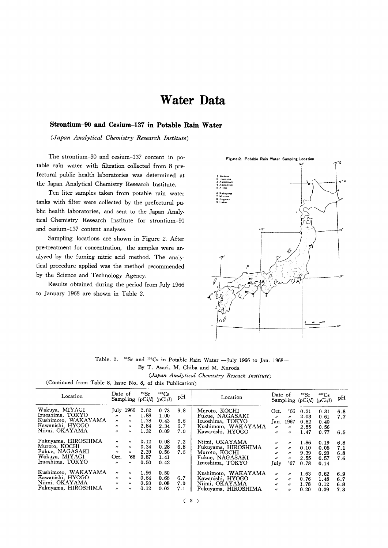## **Water Data**

#### Strontium-90 and Cesium-137 in Potable Rain Water

(Japan Analytical Chemistry Research Institute)

The strontium-90 and cesium-137 content in potable rain water with filtration collected from 8 prefectural public health laboratories was determined at the Japan Analytical Chemistry Research Institute.

Ten liter samples taken from potable rain water tanks with filter were collected by the prefectural public health laboratories, and sent to the Japan Analytical Chemistry Research Institute for strontium-90 and cesium-137 content analyses.

Sampling locations are shown in Figure 2. After pre-treatment for concentration, the samples were analyzed by the fuming nitric acid method. The analytical procedure applied was the method recommended by the Science and Technology Agency.

Results obtained during the period from July 1966 to January 1968 are shown in Table 2.



Table. 2. <sup>90</sup>Sr and <sup>137</sup>Cs in Potable Rain Water -- July 1966 to Jan. 1968-By T. Asari, M. Chiba and M. Kuroda

(Japan Analytical Chemistry Reseach Institute)

(Continued from Table 8, Issue No. 8, of this Publication)

| Location                                                                                        | Date of<br>Sampling (pCi/l) (pCi/l)                                                                                                                                      | $^{90}Sr$                            | $137C_S$                             | pН                       | Location                                                                                        | Date of                                                                                       |                                                                                         | $^{90}Sr$<br>Sampling $(pCi/l)$      | 137Cs<br>(pCi/l)                     | pH                       |
|-------------------------------------------------------------------------------------------------|--------------------------------------------------------------------------------------------------------------------------------------------------------------------------|--------------------------------------|--------------------------------------|--------------------------|-------------------------------------------------------------------------------------------------|-----------------------------------------------------------------------------------------------|-----------------------------------------------------------------------------------------|--------------------------------------|--------------------------------------|--------------------------|
| Wakuya, MIYAGI<br>Izuoshima, TOKYO<br>Kushimoto, WAKAYAMA<br>Kawanishi, HYOGO<br>Niimi, OKAYAMA | July 1966<br>$^{\prime\prime}$<br>$^{\prime\prime}$<br>$^{\prime\prime}$<br>$\prime$<br>$^{\prime\prime}$<br>$^{\prime\prime}$<br>$^{\prime\prime}$<br>$^{\prime\prime}$ | 2.62<br>1.88<br>1.78<br>2.84<br>1.32 | 0.73<br>1.00<br>0.43<br>2.34<br>0.09 | 9.8<br>6.6<br>6.7<br>7.0 | Muroto, KOCHI<br>Fukue, NAGASAKI<br>Izuoshima. TOKYO<br>Kushimoto, WAKAYAMA<br>Kawanishi. HYOGO | Oct.<br>$\mathbf{z}$<br>Jan. 1967<br>$^{\prime\prime}$<br>$^{\prime\prime}$                   | '66<br>$^{\prime\prime}$<br>$^{\prime\prime}$<br>$^{\prime\prime}$                      | 0.31<br>2.03<br>0.82<br>2.55<br>1.47 | 0.31<br>0.61<br>0.40<br>0.56<br>0.77 | 6.8<br>7.7<br>6.5        |
| Fukuyama, HIROSHIMA<br>Muroto, KOCHI<br>Fukue, NAGASAKI<br>Wakuya, MIYAGI<br>Izuoshima, TOKYO   | $\prime\prime$<br>$^{\prime\prime}$<br>$\prime\prime$<br>$^{\prime\prime}$<br>$^{\prime\prime}$<br>$\mathbf{r}$<br>'66<br>Oct.<br>"<br>$^{\prime\prime}$                 | 0.12<br>0.34<br>2.39<br>0.87<br>0.50 | 0.08<br>0.28<br>0.56<br>1.41<br>0.42 | 7.2<br>6.8<br>7.6        | Niimi, OKAYAMA<br>Fukuyama, HIROSHIMA<br>Muroto, KOCHI<br>Fukue, NAGASAKI<br>Izuoshima, TOKYO   | $^{\prime\prime}$<br>$\mathbf{r}$<br>$^{\prime\prime}$<br>$\boldsymbol{\prime\prime}$<br>July | $^{\prime\prime}$<br>$\boldsymbol{''}$<br>$^{\prime\prime}$<br>$^{\prime\prime}$<br>'67 | 1.86<br>0.10<br>9.39<br>2.55<br>0.78 | 0.19<br>0.05<br>0.20<br>0.57<br>0.14 | 6.8<br>7.1<br>6.8<br>7.6 |
| Kushimoto, WAKAYAMA<br>Kawanishi, HYOGO<br>Niimi, OKAYAMA<br>Fukuyama, HIROSHIMA                | $^{\prime\prime}$<br>$^{\prime\prime}$<br>$\prime$<br>$\boldsymbol{''}$<br>$^{\prime\prime}$<br>$\prime\prime$<br>$^{\prime\prime}$<br>$\prime\prime$                    | 1.96<br>0.64<br>0.93<br>0.12         | 0.50<br>0.66<br>0.08<br>0.02         | 6.7<br>7.0<br>7.1        | Kushimoto, WAKAYAMA<br>Kawanishi, HYOGO<br>Niimi, OKAYAMA<br>Fukuvama. HIROSHIMA                | $^{\prime\prime}$<br>$^{\prime\prime}$<br>$\prime\prime$<br>$\theta$                          | $^{\prime\prime}$<br>$\boldsymbol{H}$<br>$\boldsymbol{''}$<br>$\boldsymbol{''}$         | 1.63<br>0.76<br>1.78<br>0.20         | 0.62<br>1.48<br>0.12<br>0.09         | 6.9<br>6.7<br>6.8<br>7.3 |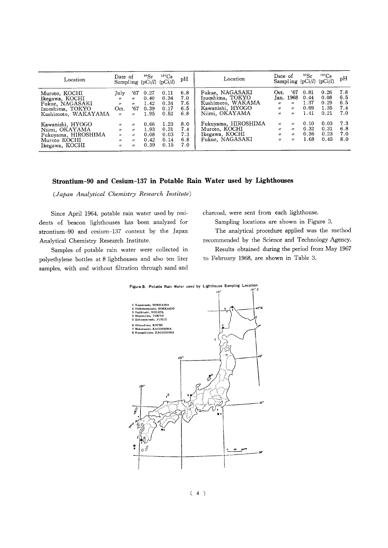| Location                                                                                      | Date of                                                                                                      |                                                                                           | $\rm ^{90}Sr$                        | $137C_S$<br>Sampling $(pCi/l)$ $(pCi/l)$ | рH                              | Location                                                                                       | Date of                                                                              |                                                                                | $\rm ^{90}Sr$                        | 137Cs<br>Sampling $(pCi/l)$ $(pCi/l)$ | pH                              |
|-----------------------------------------------------------------------------------------------|--------------------------------------------------------------------------------------------------------------|-------------------------------------------------------------------------------------------|--------------------------------------|------------------------------------------|---------------------------------|------------------------------------------------------------------------------------------------|--------------------------------------------------------------------------------------|--------------------------------------------------------------------------------|--------------------------------------|---------------------------------------|---------------------------------|
| Muroto, KOCHI<br>Ikegawa, KOCHI<br>Fukue, NAGASAKI<br>Izuoshima, TOKYO<br>Kushimoto, WAKAYAMA | July<br>$^{\prime\prime}$<br>$^{\prime\prime}$<br>Oct.<br>$\prime$                                           | '67<br>$\boldsymbol{\mu}$<br>$\mathbf{z}$<br>'67<br>$\theta$                              | 0.27<br>0.40<br>1.42<br>0.39<br>1.95 | 0.11<br>0.34<br>0.34<br>0.17<br>0.52     | 6.8<br>7.0<br>7.6<br>6.5<br>6.8 | Fukue, NAGASAKI<br>Izuoshima, TOKYO<br>Kushimoto, WAKAMA<br>Kawanishi, HYOGO<br>Niimi, OKAYAMA | Oct.<br>$^{\prime\prime}$<br>$\prime\prime$<br>$^{\prime\prime}$                     | '67<br>Jan. 1968<br>$^{\prime\prime}$<br>$^{\prime\prime}$<br>$\boldsymbol{H}$ | 0.81<br>0.44<br>1.37<br>0.69<br>1.41 | 0.26<br>0.08<br>0.29<br>1.35<br>0.21  | 7.8<br>6.5<br>6.5<br>7.4<br>7.0 |
| Kawanishi, HYOGO<br>Niimi, OKAYAMA<br>Fukuyama, HIROSHIMA<br>Muroto KOCHI<br>Ikegawa, KOCHI   | $\prime\prime$<br>$^{\prime\prime}$<br>$^{\prime\prime}$<br>$\boldsymbol{\prime\prime}$<br>$^{\prime\prime}$ | $^{\prime\prime}$<br>$^{\prime\prime}$<br>$\prime$<br>$^{\prime\prime}$<br>$\prime\prime$ | 0.66<br>1.93<br>0.08<br>0.42<br>0.39 | 1.23<br>0.31<br>0.03<br>0.14<br>0.15     | 8.0<br>7.4<br>7.3<br>6.8<br>7.0 | Fukuyama, HIROSHIMA<br>Muroto, KOCHI<br>Ikegawa, KOCHI<br>Fukue. NAGASAKI                      | $^{\prime\prime}$<br>$^{\prime\prime}$<br>$^{\prime\prime}$<br>$\boldsymbol{\prime}$ | $^{\prime\prime}$<br>$\boldsymbol{H}$<br>$\prime\prime$<br>$\prime\prime$      | 0.10<br>0.32<br>0.36<br>1.68         | 0.03<br>0.31<br>0.23<br>0.45          | 7.3<br>6.8<br>7.0<br>8.0        |

#### Strontium-90 and Cesium-137 in Potable Rain Water used by Lighthouses

(Japan Analytical Chemistry Research Institute)

Since April 1964, potable rain water used by residents of beacon lighthouses has been analyzed for strontium-90 and cesium-137 content by the Japan Analytical Chemistry Research Institute.

Samples of potable rain water were collected in polyethylene bottles at 8 lighthouses and also ten liter samples, with and without filtration through sand and charcoal, were sent from each lighthouse.

Sampling locations are shown in Figure 3.

The analytical procedure applied was the method recommended by the Science and Technology Agency.

Results obtained during the period from May 1967 to February 1968, are shown in Table 3.



 $(4)$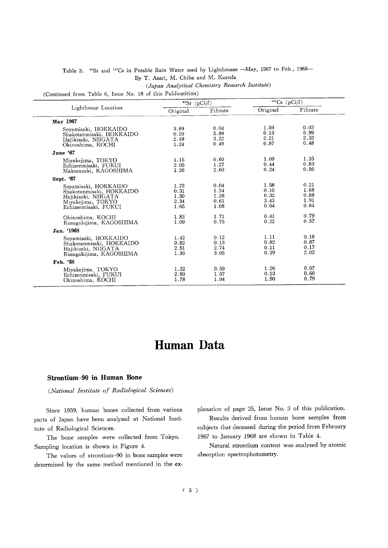#### Table 3. <sup>90</sup>Sr and <sup>137</sup>Cs in Potable Rain Water used by Lighthouses -- May, 1967 to Feb., 1968--

By T. Asari, M. Chiba and M. Kuroda

#### (Japan Analytical Chemistry Research Institute)

(Continued from Table 6, Issue No. 18 of this Publicatition)

|                                                                                                                      | $90$ Sr (pCi/l)                      |                                      | <sup>137</sup> Cs (pCi/l)            |                                      |
|----------------------------------------------------------------------------------------------------------------------|--------------------------------------|--------------------------------------|--------------------------------------|--------------------------------------|
| Lighthouse Location                                                                                                  | Original                             | Filtrate                             | Original                             | Filtrate                             |
| May 1967                                                                                                             |                                      |                                      |                                      |                                      |
| Sovamisaki, HOKKAIDO<br>Shakotanmisaki, HOKKAIDO<br>Hajikizaki, NIIGATA<br>Okinoshima, KOCHI                         | 3.89<br>0.20<br>2.49<br>1.24         | 0.04<br>5.89<br>3.22<br>0.49         | 1.59<br>0.13<br>2.21<br>0.87         | 0.03<br>5.99<br>2.33<br>0.48         |
| June '67                                                                                                             |                                      |                                      |                                      |                                      |
| Miyakejima, TOKYO<br>Echizenmisaki, FUKUI<br>Makurazaki, KAGOSHIMA                                                   | 1.15<br>2.05<br>1.26                 | 0.60<br>1.27<br>2.60                 | 1.09<br>0.44<br>0.24                 | 1.35<br>0.83<br>0.56                 |
| Sept. '67                                                                                                            |                                      |                                      |                                      |                                      |
| Soyamisaki, HOKKAIDO<br>Shakotanmisaki, HOKKAIDO<br>Hajikizaki, NIIGATA<br>Miyakejima, TOKYO<br>Echizenmisaki, FUKUI | 1.73<br>0.31<br>1.50<br>2.34<br>1.65 | 0.04<br>1.24<br>1.26<br>0.61<br>1.08 | 1.58<br>0.10<br>0.32<br>3.43<br>0.64 | 0.21<br>1.68<br>0.88<br>1.91<br>0.84 |
| Okinoshima, KOCHI<br>Kusagakijima, KAGOSHIMA                                                                         | 1.83<br>1.09                         | 1.71<br>0.75                         | 0.41<br>0.22                         | 0.79<br>0.57                         |
| Jan. '1968                                                                                                           |                                      |                                      |                                      |                                      |
| Soyamisaki, HOKKAIDO<br>Shakotanmisaki, HOKKAIDO<br>Hajikizaki, NIIGATA<br>Kusagakijima, KAGOSHIMA                   | 1.42<br>0.82<br>2.51<br>1.30         | 0.12<br>0.13<br>2.74<br>3.05         | 1.11<br>0.82<br>0.11<br>0.39         | 0.18<br>0.87<br>0.17<br>2.02         |
| Feb. '68                                                                                                             |                                      |                                      |                                      |                                      |
| Mivakejima, TOKYO<br>Echizenmisaki, FUKUI<br>Okinoshima, KOCHI                                                       | 1.32<br>2.90<br>1.78                 | 0.59<br>1.57<br>1.04                 | 1.26<br>0.23<br>1.90                 | 0.67<br>0.60<br>0.79                 |

### Human Data

#### Strontium-90 in Human Bone

(National Institute of Radiological Sciences)

Since 1959, human bones collected from various parts of Japan have been analyzed at National Institute of Radiological Sciences.

The bone samples were collected from Tokyo. Sampling location is shown in Figure 4.

The values of strontium-90 in bone samples were determined by the same method mentioned in the explanation of page 25, Issue No. 3 of this publication.

Results derived from human bone samples from subjects that deceased during the period from February 1967 to January 1968 are shown in Table 4.

Natural strontium content was analyzed by atomic absorption spectrophotometry.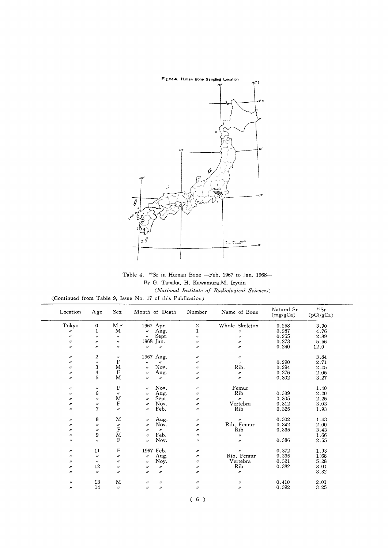

Table 4. <sup>\*</sup>Sr in Human Bone -Feb. 1967 to Jan. 1968-By G. Tanaka, H. Kawamura, M. Izyuin (National Institute of Radiological Sciences)

| (Continued from Table 9, Issue No. 17 of this Publication) |  |  |  |  |  |
|------------------------------------------------------------|--|--|--|--|--|
|------------------------------------------------------------|--|--|--|--|--|

| Location          | Age               | Sex               |                   | Month of Death    | Number            | Name of Bone      | Natural Sr<br>(mg/gCa) | 90Sr<br>(pCi/gCa) |  |
|-------------------|-------------------|-------------------|-------------------|-------------------|-------------------|-------------------|------------------------|-------------------|--|
| Tokyo             | 0                 | M F               |                   | 1967 Apr.         | $\boldsymbol{2}$  | Whole Skeleton    | 0.258                  | 3.90              |  |
| $^{\prime\prime}$ | 1                 | M                 | $^{\prime\prime}$ | Aug.              | 1                 | $^{\prime\prime}$ | 0.287                  | 4.76              |  |
| $^{\prime\prime}$ | $^{\prime\prime}$ | $^{\prime\prime}$ | $^{\prime\prime}$ | Sept.             | $^{\prime\prime}$ | $^{\prime\prime}$ | 0.255                  | 2.89              |  |
| $^{\prime\prime}$ | $^{\prime\prime}$ | $^{\prime\prime}$ |                   | 1968 Jan.         | $^{\prime\prime}$ | $^{\prime\prime}$ | 0.273                  | 5.56              |  |
| $^{\prime\prime}$ | $^{\prime\prime}$ | $^{\prime\prime}$ | $^{\prime\prime}$ | $^{\prime\prime}$ | $^{\prime\prime}$ | $^{\prime\prime}$ | 0.240                  | 12.0              |  |
| $^{\prime\prime}$ | $\boldsymbol{2}$  | $^{\prime\prime}$ |                   | 1967 Aug.         | $^{\prime\prime}$ | $^{\prime\prime}$ |                        | 3.84              |  |
| $^{\prime\prime}$ | $^{\prime\prime}$ | ${\bf F}$         | $^{\prime\prime}$ | $\theta$          | $^{\prime\prime}$ | $^{\prime\prime}$ | 0.290                  | 2.71              |  |
| $^{\prime\prime}$ | 3                 | M                 | $^{\prime\prime}$ | Nov.              | $^{\prime\prime}$ | Rib.              | 0.294                  | 2.45              |  |
| $^{\prime\prime}$ | 4                 | $\mathbf F$       | $^{\prime\prime}$ | Aug.              | $^{\prime\prime}$ | $^{\prime\prime}$ | 0.276                  | 2.05              |  |
| $^{\prime\prime}$ | 5                 | M                 | $^{\prime\prime}$ | $^{\prime\prime}$ | $^{\prime\prime}$ | $^{\prime\prime}$ | 0.302                  | 3.27              |  |
| $^{\prime\prime}$ | $^{\prime\prime}$ | $\rm F$           | $^{\prime\prime}$ | Nov.              | $^{\prime\prime}$ | Femur             |                        | 1.40              |  |
| $^{\prime\prime}$ | 6                 | $^{\prime\prime}$ | $^{\prime\prime}$ | Aug.              | $^{\prime\prime}$ | Rib               | 0.339                  | 2.20              |  |
| $^{\prime\prime}$ | $^{\prime\prime}$ | M                 | $^{\prime\prime}$ | Sept.             | $^{\prime\prime}$ | $^{\prime\prime}$ | 0.305                  | 2.25              |  |
| $^{\prime\prime}$ | $^{\prime\prime}$ | $\mathbf F$       | $^{\prime\prime}$ | Nov.              | $^{\prime\prime}$ | Vertebra          | 0.312                  | 3.03              |  |
| $^{\prime\prime}$ | $\overline{7}$    | $^{\prime\prime}$ | $^{\prime\prime}$ | Feb.              | $^{\prime\prime}$ | Rib               | 0.325                  | 1.93              |  |
| $^{\prime\prime}$ | 8                 | M                 | $^{\prime\prime}$ | Aug.              | $^{\prime\prime}$ | $^{\prime\prime}$ | 0.302                  | 1.43              |  |
| $^{\prime\prime}$ | $^{\prime\prime}$ | $^{\prime\prime}$ | $^{\prime\prime}$ | Nov.              | $^{\prime\prime}$ | Rib, Femur        | 0.342                  | 2.00              |  |
| $^{\prime\prime}$ | $^{\prime\prime}$ | $\mathbf F$       | $^{\prime\prime}$ | $^{\prime\prime}$ | $^{\prime\prime}$ | Rib               | 0.335                  | 3.43              |  |
| $^{\prime\prime}$ | 9                 | M                 | $^{\prime\prime}$ | Feb.              | $^{\prime\prime}$ | $^{\prime\prime}$ |                        | 1.66              |  |
| $^{\prime\prime}$ | $^{\prime\prime}$ | $\mathbf F$       | $^{\prime\prime}$ | Nov.              | $^{\prime\prime}$ | $^{\prime\prime}$ | 0.386                  | 2.55              |  |
| $^{\prime\prime}$ | 11                | F                 |                   | 1967 Feb.         | $^{\prime\prime}$ | $^{\prime\prime}$ | 0.372                  | 1.93              |  |
| $^{\prime\prime}$ | $^{\prime\prime}$ | $^{\prime\prime}$ | $^{\prime\prime}$ | Aug.              | $^{\prime\prime}$ | Rib, Femur        | 0.365                  | 1.68              |  |
| $^{\prime\prime}$ | $^{\prime\prime}$ | $^{\prime\prime}$ | $^{\prime\prime}$ | Noy.              | $^{\prime\prime}$ | Vertebra          | 0.321                  | 5.28              |  |
| $^{\prime\prime}$ | 12                | n                 | $^{\prime\prime}$ | $^{\prime\prime}$ | $^{\prime\prime}$ | Rib               | 0.382                  | 3.01              |  |
| $^{\prime\prime}$ | $^{\prime\prime}$ | $^{\prime\prime}$ | $\prime\prime$    | $\prime\prime$    | $^{\prime\prime}$ | $^{\prime\prime}$ |                        | 3.32              |  |
| $^{\prime\prime}$ | 13                | M                 | $^{\prime\prime}$ | $^{\prime\prime}$ | $^{\prime\prime}$ | $^{\prime\prime}$ | 0.410                  | 2.01              |  |
| $^{\prime\prime}$ | 14                | $^{\prime\prime}$ | $^{\prime\prime}$ | $^{\prime\prime}$ | $^{\prime\prime}$ | $^{\prime\prime}$ | 0.392                  | 3.25              |  |
|                   |                   |                   |                   |                   |                   |                   |                        |                   |  |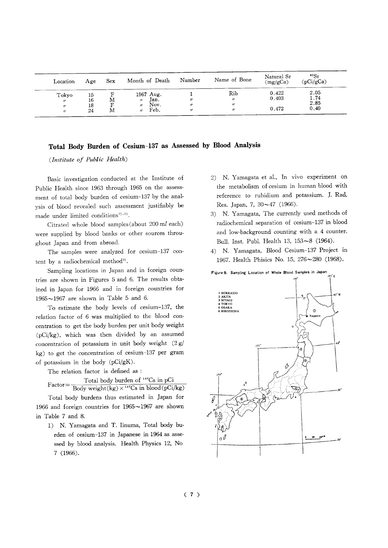| Location          | Age | ${\rm Sex}$ | Month of Death            | Number            | Name of Bone      | Natural Sr<br>(mg/gCa) | 90Sr<br>(pCi/gCa) |
|-------------------|-----|-------------|---------------------------|-------------------|-------------------|------------------------|-------------------|
| Tokyo             | 15  | F           | 1967 Aug.                 |                   | Rib               | 0.422                  | 2.05              |
| $\theta$          | 16  | Μ           | Jan.<br>$^{\prime\prime}$ | $^{\prime\prime}$ | $^{\prime\prime}$ | 0.403                  | 1.74              |
| $^{\prime\prime}$ | 18  |             | Nov.<br>$^{\prime\prime}$ | "                 | $^{\prime\prime}$ |                        | 2.85              |
| $^{\prime\prime}$ | 24  | Μ           | Feb.<br>$^{\prime\prime}$ | $^{\prime\prime}$ | $^{\prime\prime}$ | 0.472                  | 0.40              |

#### Total Body Burden of Cesium-137 as Assessed by Blood Analysis

(Institute of Public Health)

Basic investigation conducted at the Institute of Public Health since 1963 through 1965 on the assessment of total body burden of cesium-137 by the analysis of blood revealed such assessment justifiably be made under limited conditions<sup>1),2)</sup>.

Citrated whole blood samples (about 200 ml each) were supplied by blood banks or other sources throughout Japan and from abroad.

The samples were analyzed for cesium-137 content by a radiochemical method<sup>3)</sup>.

Sampling locations in Japan and in foreign countries are shown in Figures 5 and 6. The results obtained in Japan for 1966 and in foreign countries for  $1965 \sim 1967$  are shown in Table 5 and 6.

To estimate the body levels of cesium-137, the relation factor of 6 was multiplied to the blood concentration to get the body burden per unit body weight  $(pCi/kg)$ , which was then divided by an assumed concentration of potassium in unit body weight  $(2g)$ kg) to get the concentration of cesium-137 per gram of potassium in the body (pCi/gK).

The relation factor is defined as :

Total body burden of 137Cs in pCi  $Factor =$ Body weight(kg)  $\times$ <sup>137</sup>Cs in blood(pCi/kg)

Total body burdens thus estimated in Japan for 1966 and foreign countries for 1965~1967 are shown in Table 7 and 8.

1) N. Yamagata and T. Iinuma, Total body burden of cesium-137 in Japanese in 1964 as assessed by blood analysis. Health Physics 12, No  $7(1966)$ .

- 2) N. Yamagata et al., In vivo experiment on the metabolism of cesium in human blood with reference to rubidium and potassium. J. Rad. Res. Japan, 7,  $30 \sim 47$  (1966).
- 3) N. Yamagata, The currently used methods of radiochemical separation of cesium-137 in blood and low-background counting with a 4 counter. Bull. Inst. Publ. Health 13, 153~8 (1964).
- 4) N. Yamagata, Blood Cesium-137 Project in 1967. Health Phisics No. 15, 276~280 (1968).

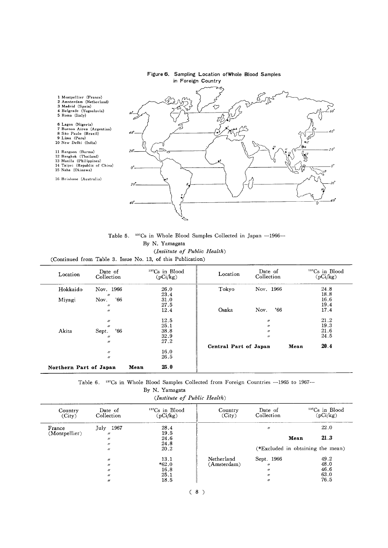

Figure 6. Sampling Location of Whole Blood Samples in Foreign Country

Table 5. <sup>137</sup>Cs in Whole Blood Samples Collected in Japan -1966-By N.Yamagata

(Insiitute of Public Health)

(Continued from Table 3. Issue No. 13, of this Publication)

1 Montpellier (France)<br>2 Amsterdam (Nether)<br>3 Madrid (Spain)<br>4 Belgrade (Yugos<br>5 Roma (Italy)

6 Lagos (Nigeria)<br>7 Buenos Aires (Argen<br>8 São Paulo (Brazil)<br>9 Lima (Peru)<br>10 New Delhi (India)

(1 Rangoon (Burma)<br>2 Bangkok (Thailand)<br>3 Manila (Philippines)<br>4 Taipei (Republic of China)<br>5 Naha (Okinawa)

16 Brisbane (Australia)

| Location               | Date of<br>Collection                  | <sup>137</sup> Cs in Blood<br>(pCi/kg) | Location              | Date of<br>Collection | $137Cs$ in Blood<br>(pCi/kg) |
|------------------------|----------------------------------------|----------------------------------------|-----------------------|-----------------------|------------------------------|
| Hokkaido               | Nov. 1966<br>$^{\prime\prime}$         | 26.0<br>23.4                           | Tokyo                 | Nov. 1966             | 24.8<br>18.8                 |
| Miyagi                 | 66'<br>Nov.                            | 31.0                                   |                       |                       | 16.6                         |
|                        | $^{\prime\prime}$<br>$^{\prime\prime}$ | 27.5<br>12.4                           | Osaka                 | '66<br>Nov.           | 19.4<br>17.4                 |
|                        | $^{\prime\prime}$                      | 12.5                                   |                       | $^{\prime\prime}$     | 21.2                         |
|                        | $^{\prime\prime}$                      | 25.1                                   |                       | $^{\prime\prime}$     | 19.3                         |
| Akita                  | .66<br>Sept.                           | 38.8                                   |                       | $^{\prime\prime}$     | 21.6                         |
|                        | $^{\prime\prime}$                      | 32.9                                   |                       | $^{\prime\prime}$     | 24.5                         |
|                        | $^{\prime\prime}$                      | 27.2                                   |                       |                       |                              |
|                        |                                        |                                        | Central Part of Japan |                       | 20.4<br>Mean                 |
|                        | $^{\prime\prime}$                      | 16.0                                   |                       |                       |                              |
|                        | $\boldsymbol{\prime\prime}$            | 26.5                                   |                       |                       |                              |
| Northern Part of Japan | Mean                                   | 25.0                                   |                       |                       |                              |

Table 6. <sup>137</sup>Cs in Whole Blood Samples Collected from Foreign Countries --1965 to 1967-

By N. Yamagata (Institute of Public Health)

| Country<br>(City) | Date of<br>Collection                  | $137Cs$ in Blood<br>(pCi/kg) | Country<br>(City) | Date of<br>Collection                  | $137Cs$ in Blood<br>(pCi/kg)      |
|-------------------|----------------------------------------|------------------------------|-------------------|----------------------------------------|-----------------------------------|
| France            | 1967<br>July                           | 28.4<br>19.5                 |                   | $^{\prime\prime}$                      | 22.0                              |
| (Montpellier)     | $^{\prime\prime}$<br>$^{\prime\prime}$ | 24.6<br>24.8                 |                   |                                        | 21.3<br>Mean                      |
|                   | $^{\prime\prime}$<br>$^{\prime\prime}$ | 20.2                         |                   |                                        | (*Excluded in obtaining the mean) |
|                   | $^{\prime\prime}$                      | 13.1                         | Netherland        | Sept. 1966                             | 49.2                              |
|                   | $^{\prime\prime}$<br>$^{\prime\prime}$ | $*62.0$<br>16.8              | (Amsterdam)       | $^{\prime\prime}$<br>$^{\prime\prime}$ | 48.0<br>46.6                      |
|                   | $^{\prime\prime}$<br>$^{\prime\prime}$ | 25.1<br>18.5                 |                   | $^{\prime\prime}$<br>$^{\prime\prime}$ | 63.0<br>76.5                      |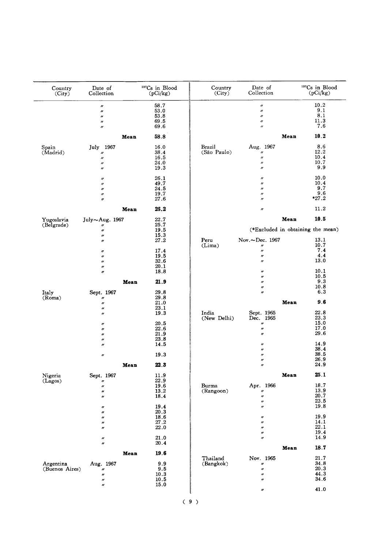| Country<br>(City)  | Date of<br>Collection                  | <sup>137</sup> Cs in Blood<br>(pCi/kg) | Country<br>(City) | Date of<br>Collection                            | <sup>137</sup> Cs in Blood<br>(pCi/kg) |
|--------------------|----------------------------------------|----------------------------------------|-------------------|--------------------------------------------------|----------------------------------------|
|                    | n                                      | 58.7                                   |                   | n                                                | 10.2                                   |
|                    | $\boldsymbol{\prime\prime}$            | 53.0                                   |                   | n                                                | 9.1<br>8.1                             |
|                    | $\prime\prime$                         | 53.8<br>69.5                           |                   | n<br>n                                           | 11.3                                   |
|                    | $^{\prime\prime}$<br>$^{\prime\prime}$ | 69.6                                   |                   | $^{\prime\prime}$                                | 7.6                                    |
|                    | Mean                                   | 58.8                                   |                   | Mean                                             | 10.2                                   |
| Spain              | July 1967                              | 16.0                                   | Brazil            | Aug. 1967                                        | 8.6                                    |
| (Madrid)           | $\theta$                               | 38.4                                   | (São Paulo)       | n                                                | 12.2                                   |
|                    | $\prime\prime$                         | 16.5                                   |                   | $\prime\prime$                                   | 10.4                                   |
|                    | $\prime\prime$<br>$\boldsymbol{''}$    | 24.0<br>19.3                           |                   | $^{\prime\prime}$<br>$^{\prime\prime}$           | 10.7<br>9.9                            |
|                    |                                        |                                        |                   |                                                  |                                        |
|                    | $^{\prime\prime}$                      | 26.1                                   |                   | n                                                | 10.0                                   |
|                    | n<br>n                                 | 49.7<br>24.5                           |                   | $\boldsymbol{\prime\prime}$<br>$^{\prime\prime}$ | 10.4<br>9.7                            |
|                    | $^{\prime\prime}$                      | 19.7                                   |                   | $\prime\prime$                                   | 9.6                                    |
|                    | $\prime\prime$                         | 27.6                                   |                   | $\prime\prime$                                   | $*27.2$                                |
|                    | Mean                                   | 26.2                                   |                   | $\prime\prime$                                   | 11.2                                   |
| Yugoslavia         | July~Aug. 1967                         | 22.7<br>25.7                           |                   | Mean                                             | 10.5                                   |
| (Belgrade)         | n<br>n                                 | 19.5                                   |                   |                                                  | (*Excluded in obtaining the mean)      |
|                    | n<br>n                                 | $\frac{15.3}{27.2}$                    | Peru              | Nov. $\sim$ Dec. 1967                            | 13.1                                   |
|                    |                                        |                                        | (Lima)            | n                                                | 10.7                                   |
|                    | $^{\prime\prime}$                      | 17.4                                   |                   | n                                                | 7.4                                    |
|                    | n                                      | 19.5                                   |                   | n                                                | 4.4                                    |
|                    | $^{\prime\prime}$                      | 32.6<br>20.1                           |                   | $\boldsymbol{\prime\prime}$                      | 13.0                                   |
|                    | n<br>$^{\prime\prime}$                 | 18.8                                   |                   | n                                                | 10.1                                   |
|                    |                                        |                                        |                   | n                                                | 10.5                                   |
|                    | Mean                                   | 21.9                                   |                   | $^{\prime\prime}$                                | 9.3                                    |
| Italy              | Sept. 1967                             | 29.8                                   |                   | $^{\prime\prime}$<br>$^{\prime\prime}$           | 10.8<br>6.3                            |
| (Roma)             | $^{\prime\prime}$                      | 29.8                                   |                   |                                                  |                                        |
|                    | n                                      | 21.0                                   |                   | Mean                                             | 9.6                                    |
|                    | $^{\prime\prime}$                      | 23.1                                   | India             |                                                  | 22.8                                   |
|                    | n                                      | 19.3                                   | (New Delhi)       | Sept. 1965<br>Dec. 1965                          | 23.3                                   |
|                    | n                                      | 20.5                                   |                   | n                                                | 15.0                                   |
|                    | n                                      | 22.6                                   |                   | $^{\prime\prime}$                                | 17.0                                   |
|                    | "                                      | 21.9                                   |                   | n                                                | 29.6                                   |
|                    | n                                      | 23.8<br>14.5                           |                   | $\prime\prime$                                   | 14.9                                   |
|                    | $^{\prime\prime}$                      |                                        |                   | $\prime\prime$                                   | 38.4                                   |
|                    | $\pmb{\prime}$                         | 19.3                                   |                   | n                                                | 38.5                                   |
|                    | Mean                                   | 22.3                                   |                   | $\prime\prime$<br>$\prime\prime$                 | 26.9<br>24.9                           |
|                    |                                        |                                        |                   | Mean                                             | 25.1                                   |
| Nigeria<br>(Lagos) | Sept. 1967<br>$^{\prime\prime}$        | 11.9<br>22.9                           |                   |                                                  |                                        |
|                    | $^{\prime\prime}$                      | 19.6                                   | Burma             | Apr. 1966                                        | 18.7                                   |
|                    | n                                      | 13.2                                   | (Rangoon)         | n                                                | 13.9                                   |
|                    | n                                      | 18.4                                   |                   | $^{\prime\prime}$<br>"                           | 20.7<br>23.5                           |
|                    | $\boldsymbol{''}$                      | 19.4                                   |                   | n                                                | 19.8                                   |
|                    | n                                      | 20.3                                   |                   |                                                  |                                        |
|                    | n                                      | 18.6                                   |                   | $\boldsymbol{\prime\prime}$                      | 19.9                                   |
|                    | $\boldsymbol{''}$                      | 27.2<br>22.0                           |                   | $^{\prime\prime}$<br>n                           | 14.1<br>22.1                           |
|                    | $\boldsymbol{\prime\prime}$            |                                        |                   | n                                                | 19.4                                   |
|                    | $\boldsymbol{''}$<br>$^{\prime\prime}$ | 21.0<br>20.4                           |                   | $\theta$                                         | 14.9                                   |
|                    | Mean                                   | 19.6                                   |                   | Mean                                             | 18.7                                   |
|                    |                                        |                                        | Thailand          | Nov. 1965                                        | 21.7                                   |
| Argentina          | Aug. 1967                              | 9.9                                    | (Bangkok)         | n                                                | 34.8                                   |
| (Buenos Aires)     | n                                      | 9.5<br>10.3                            |                   | n<br>$^{\prime\prime}$                           | 20.3<br>44.3                           |
|                    | $\boldsymbol{\prime\prime}$            | 10.5                                   |                   | n                                                | 34.6                                   |
|                    |                                        |                                        |                   |                                                  |                                        |
|                    | n<br>n                                 | 15.0                                   |                   |                                                  | 41.0                                   |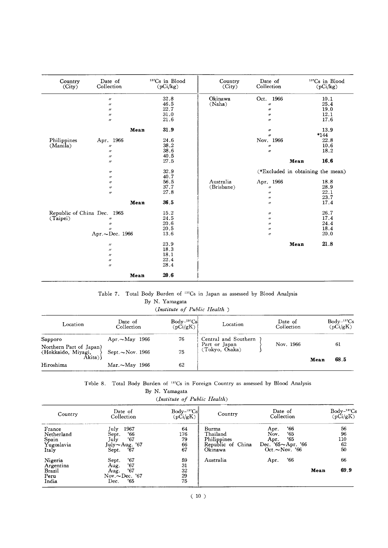| Country<br>(City)                  | Date of<br>Collection                                                                                              | <sup>137</sup> Cs in Blood<br>(pCi/kg)               | Country<br>(City)       | Date of<br>Collection                                                                                                                    | <sup>137</sup> Cs in Blood<br>(pCi/kg)                                    |
|------------------------------------|--------------------------------------------------------------------------------------------------------------------|------------------------------------------------------|-------------------------|------------------------------------------------------------------------------------------------------------------------------------------|---------------------------------------------------------------------------|
|                                    | $^{\prime\prime}$<br>$\prime\prime$<br>$^{\prime\prime}$<br>$^{\prime\prime}$<br>$^{\prime\prime}$<br>Mean         | 32.8<br>46.5<br>22.7<br>31.0<br>21.6<br>31.9         | Okinawa<br>(Naha)       | Oct. 1966<br>$\boldsymbol{\prime\prime}$<br>$^{\prime\prime}$<br>$^{\prime\prime}$<br>$^{\prime\prime}$<br>$^{\prime\prime}$<br>$\theta$ | 10.1<br>25.4<br>19.0<br>12.1<br>17.6<br>13.9<br>$*144$                    |
| Philippines<br>(Manila)            | Apr. 1966<br>$^{\prime\prime}$<br>$^{\prime\prime}$<br>$^{\prime\prime}$<br>$^{\prime\prime}$                      | 24.6<br>38.2<br>38.6<br>40.5<br>27.5                 |                         | Nov. 1966<br>$^{\prime\prime}$<br>$\prime\prime$<br>Mean                                                                                 | 22.8<br>10.6<br>18.2<br>16.6                                              |
|                                    | $^{\prime\prime}$<br>$^{\prime\prime}$<br>$^{\prime\prime}$<br>$^{\prime\prime}$<br>$\prime\prime$<br>Mean         | 32.9<br>40.7<br>56.5<br>37.7<br>27.8<br>36.5         | Australia<br>(Brisbane) | Apr. 1966<br>$^{\prime\prime}$<br>$^{\prime\prime}$<br>$^{\prime\prime}$<br>$^{\prime\prime}$                                            | (*Excluded in obtaining the mean)<br>18.8<br>28.9<br>22.1<br>23.7<br>17.4 |
| Republic of China Dec.<br>(Taipei) | 1965<br>u<br>$\prime\prime$<br>$\boldsymbol{u}$<br>Apr. $\sim$ Dec. 1966<br>$^{\prime\prime}$<br>$^{\prime\prime}$ | 15.2<br>24.5<br>20.6<br>20.5<br>13.6<br>23.9<br>18.3 |                         | $^{\prime\prime}$<br>$^{\prime\prime}$<br>$^{\prime\prime}$<br>$^{\prime\prime}$<br>$^{\prime\prime}$<br>Mean                            | 26.7<br>17.4<br>24.4<br>18.4<br>20.0<br>21.8                              |
|                                    | $^{\prime\prime}$<br>$^{\prime\prime}$<br>$^{\prime\prime}$<br>Mean                                                | 18.1<br>22.4<br>28.4<br>20.6                         |                         |                                                                                                                                          |                                                                           |

#### Table 7. Total Body Burden of <sup>137</sup>Cs in Japan as assessed by Blood Analysis By  $\Gamma$

| N. Yamagata |  |                              |  |
|-------------|--|------------------------------|--|
|             |  | (Institute of Public Health) |  |

| Location                                                | Date of<br>Collection           | $Body-137Cs$<br>(pCi/gK) | Location                              | Date of<br>Collection |      | Body <sup>-137</sup> Cs<br>(pCi/gK) |
|---------------------------------------------------------|---------------------------------|--------------------------|---------------------------------------|-----------------------|------|-------------------------------------|
| Sapporo                                                 | $Apr. \sim May$ 1966            | 76                       | Central and Southern<br>Part or Japan | Nov. 1966             |      | 61                                  |
| Northern Part of Japan)<br>(Hokkaido, Miyagi,<br>Akita) | $\angle$ Sept. $\sim$ Nov. 1966 | 75                       | (Tokyo, Osaka)                        |                       |      |                                     |
| Hiroshima                                               | $Mar. \sim$ May 1966            | 62                       |                                       |                       | Mean | 68.5                                |

#### Teble 8. Total Body Burden of <sup>137</sup>Cs in Foreign Country as assessed by Blood Analysis

 $\overset{\text{Body-}{^{137}\text{Cs}}}{{\text{ (pCi/gK)}}}$  $\begin{array}{c}\n\text{Body--}^{137}\text{Cs} \\
(\text{pCi/gK})\n\end{array}$ Date of Date of Country Country Collection Collection July 1967<br>Sept. '66<br>July '67<br>July ~ Aug. '67<br>Sept. '67 Burma<br>Thailand<br>Philippines<br>Republic of China  $\frac{56}{96}$ Apr.<br>Nov.  $\begin{array}{c} 64 \\ 176 \\ 79 \end{array}$  $56'$ France  $500$ Netherland Apr. '65<br>Dec. '65~Apr. '66<br>Oct.~Nov. '66  $\frac{110}{62}$ <br>50 Spain<br>
Yugoslavia<br>
Italy  $\frac{66}{67}$ Okinawa  $\begin{array}{c} 59 \\ 31 \\ 32 \\ 29 \\ 75 \end{array}$ 66  $.66$  $.67$ Australia Apr. Nigeria Sept. Sept. 67<br>Aug. '67<br>Aug. '67<br>Nov.~Dec. '67<br>Dec. '65 Argentina<br>Brazil 69.9 Mean Peru<br>India

(Institute of Public Health)

By N. Yamagata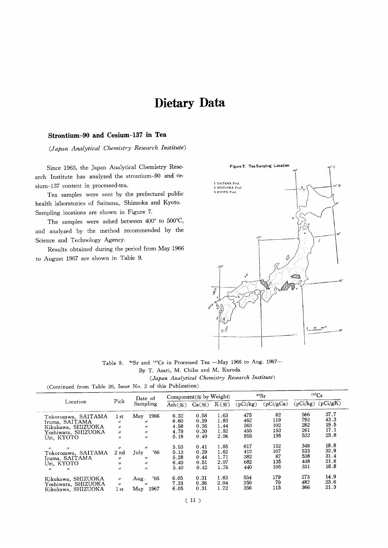## Dietary Data

#### Strontium-90 and Cesium-137 in Tea

(Japan Analytical Chemistry Research Institute)

Since 1963, the Japan Analytical Chemistry Research Institute has analyzed the strontium-90 and cesium-137 content in processed-tea.

Tea samples were sent by the prefectural public health laboratories of Saitama, Shizuoka and Kyoto. Sampling locations are shown in Figure 7.

The samples were ashed between 400° to 500°C, and analyzed by the method recommended by the Science and Technology Agency.

Results obtained during the period from May 1966 to August 1967 are shown in Table 9.



Table 9. \*°Sr and \*\*\*Cs in Processed Tea -May 1966 to Aug. 1967-By T. Asari, M. Chiba and M. Kuroda (Japan Analytical Chemistry Research Institute)

(Continued from Table 20, Issue No. 2 of this Publication)

|                                                                                                                                         |                                                                                         | Date of                                                                                         | Component(% by Weight)               |                                      |                                      | $90$ Sr                         |                                | 137Cs                           |                                      |
|-----------------------------------------------------------------------------------------------------------------------------------------|-----------------------------------------------------------------------------------------|-------------------------------------------------------------------------------------------------|--------------------------------------|--------------------------------------|--------------------------------------|---------------------------------|--------------------------------|---------------------------------|--------------------------------------|
| Location                                                                                                                                | Pick                                                                                    | Sampling                                                                                        | Ash $(\%)$                           | $Ca(\%)$                             | $K(\mathscr{G})$                     | (pCi/kg)                        | (pCi/gCa)                      | (pCi/kg)                        | (pCi/gK)                             |
| Tokorozawa, SAITAMA<br>Iruma. SAITAMA<br>Kikukawa, SHIZUOKA<br>Yoshiwara, SHIZUOKA<br>Uzi. KYOTO                                        | 1 st<br>$^{\prime\prime}$<br>$^{\prime\prime}$<br>$^{\prime\prime}$<br>$\prime$         | 1966<br>May<br>$^{\prime\prime}$<br>$^{\prime\prime}$<br>$^{\prime\prime}$<br>$^{\prime\prime}$ | 6.32<br>6.60<br>4.58<br>4.79<br>5.18 | 0.58<br>0.39<br>0.36<br>0.30<br>0.49 | 1.63<br>1.83<br>1.44<br>1.52<br>2.06 | 475<br>462<br>363<br>455<br>955 | 82<br>119<br>102<br>153<br>195 | 566<br>792<br>282<br>261<br>532 | 37.7<br>43.3<br>19.5<br>17.1<br>25.8 |
| $^{\prime\prime}$<br>$^{\prime\prime}$<br>Tokorozawa, SAITAMA<br>Iruma, SAITAMA<br>Uzi, KYOTO<br>$^{\prime\prime}$<br>$^{\prime\prime}$ | $^{\prime\prime}$<br>2nd<br>$^{\prime\prime}$<br>$^{\prime\prime}$<br>$^{\prime\prime}$ | $^{\prime\prime}$<br>$^{\prime}66$<br>July<br>"<br>$^{\prime\prime}$<br>$^{\prime\prime}$       | 5.53<br>5.13<br>5.28<br>6.40<br>5.40 | 0.41<br>0.39<br>0.44<br>0.51<br>0.42 | 1.85<br>1.62<br>1.71<br>2.07<br>1.76 | 617<br>412<br>382<br>682<br>440 | 152<br>107<br>87<br>135<br>105 | 348<br>533<br>538<br>448<br>331 | 18.8<br>32.9<br>31.4<br>21.6<br>18.8 |
| Kikukawa, SHIZUOKA<br>Yoshiwara, SHIZUOKA<br>Kikukawa, SHIZUOKA                                                                         | $^{\prime\prime}$<br>$^{\prime\prime}$<br>1 st                                          | .66<br>Aug.<br>$^{\prime\prime}$<br>1967<br>May                                                 | 6.05<br>7.33<br>6.05                 | 0.31<br>0.36<br>0.31                 | 1.83<br>2.04<br>1.72                 | 554<br>250<br>356               | 179<br>70<br>115               | 273<br>482<br>366               | 14.9<br>23.6<br>21.3                 |